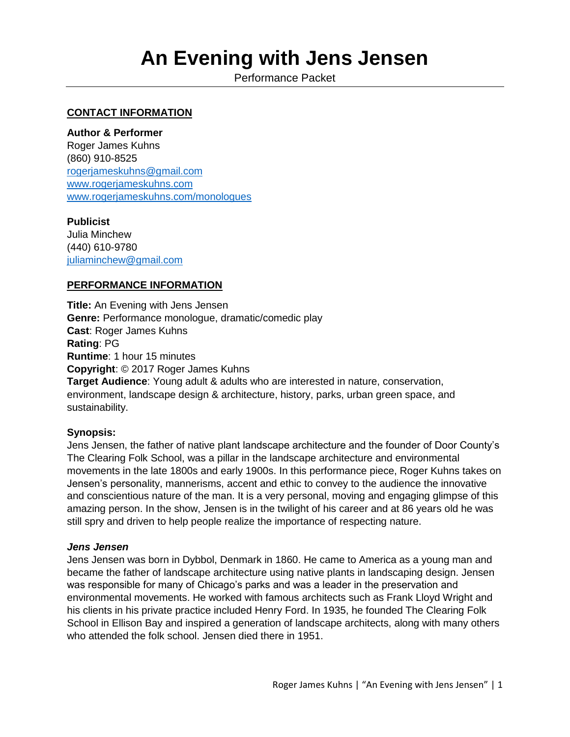# **An Evening with Jens Jensen**

Performance Packet

## **CONTACT INFORMATION**

#### **Author & Performer**

Roger James Kuhns (860) 910-8525 [rogerjameskuhns@gmail.com](mailto:rogerjameskuhns@gmail.com) [www.rogerjameskuhns.com](http://www.rogerjameskuhns.com/) [www.rogerjameskuhns.com/monologues](http://www.rogerjameskuhns.com/monologues)

#### **Publicist**

Julia Minchew (440) 610-9780 [juliaminchew@gmail.com](mailto:juliaminchew@gmail.com)

#### **PERFORMANCE INFORMATION**

**Title:** An Evening with Jens Jensen **Genre:** Performance monologue, dramatic/comedic play **Cast**: Roger James Kuhns **Rating**: PG **Runtime**: 1 hour 15 minutes **Copyright**: © 2017 Roger James Kuhns **Target Audience**: Young adult & adults who are interested in nature, conservation, environment, landscape design & architecture, history, parks, urban green space, and sustainability.

## **Synopsis:**

Jens Jensen, the father of native plant landscape architecture and the founder of Door County's The Clearing Folk School, was a pillar in the landscape architecture and environmental movements in the late 1800s and early 1900s. In this performance piece, Roger Kuhns takes on Jensen's personality, mannerisms, accent and ethic to convey to the audience the innovative and conscientious nature of the man. It is a very personal, moving and engaging glimpse of this amazing person. In the show, Jensen is in the twilight of his career and at 86 years old he was still spry and driven to help people realize the importance of respecting nature.

#### *Jens Jensen*

Jens Jensen was born in Dybbol, Denmark in 1860. He came to America as a young man and became the father of landscape architecture using native plants in landscaping design. Jensen was responsible for many of Chicago's parks and was a leader in the preservation and environmental movements. He worked with famous architects such as Frank Lloyd Wright and his clients in his private practice included Henry Ford. In 1935, he founded The Clearing Folk School in Ellison Bay and inspired a generation of landscape architects, along with many others who attended the folk school. Jensen died there in 1951.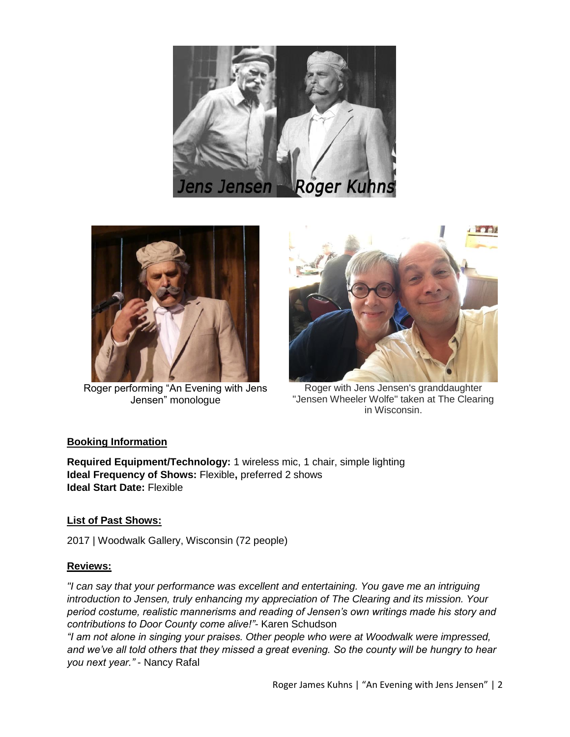



Roger performing "An Evening with Jens Jensen" monologue



Roger with Jens Jensen's granddaughter "Jensen Wheeler Wolfe" taken at The Clearing in Wisconsin.

## **Booking Information**

**Required Equipment/Technology:** 1 wireless mic, 1 chair, simple lighting **Ideal Frequency of Shows:** Flexible**,** preferred 2 shows **Ideal Start Date:** Flexible

## **List of Past Shows:**

2017 | Woodwalk Gallery, Wisconsin (72 people)

## **Reviews:**

*"I can say that your performance was excellent and entertaining. You gave me an intriguing introduction to Jensen, truly enhancing my appreciation of The Clearing and its mission. Your period costume, realistic mannerisms and reading of Jensen's own writings made his story and contributions to Door County come alive!"-* Karen Schudson

*"I am not alone in singing your praises. Other people who were at Woodwalk were impressed, and we've all told others that they missed a great evening. So the county will be hungry to hear you next year."* - Nancy Rafal